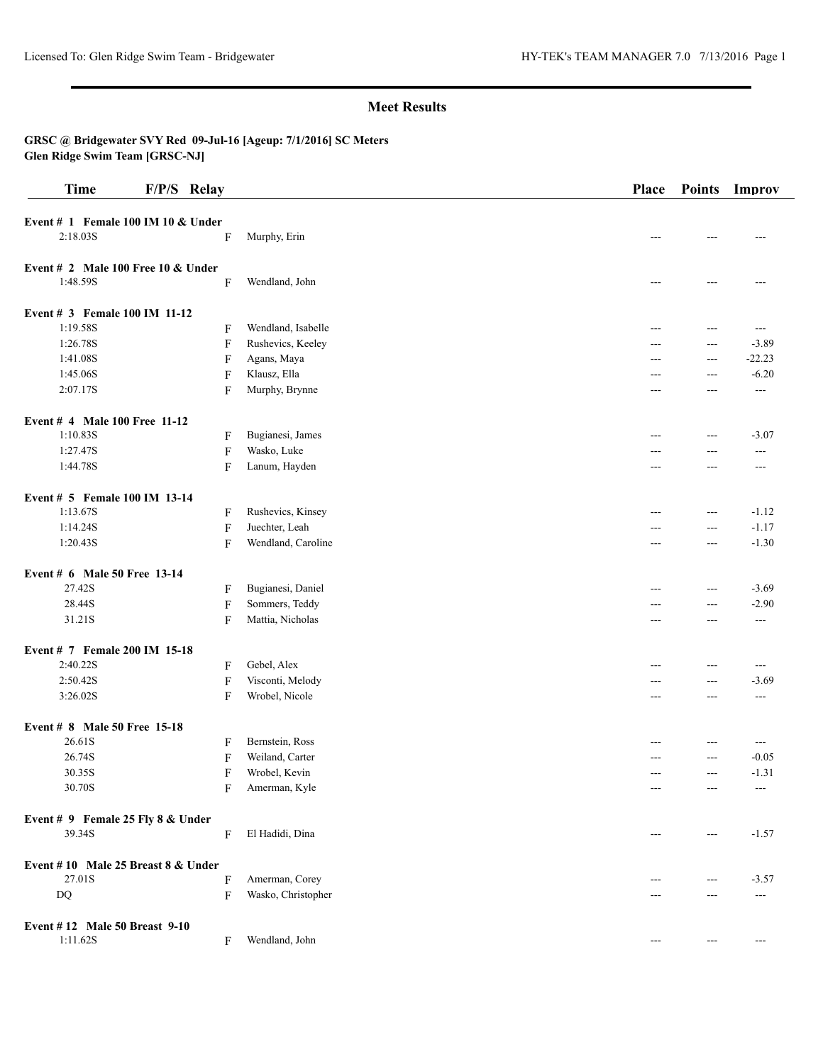**GRSC @ Bridgewater SVY Red 09-Jul-16 [Ageup: 7/1/2016] SC Meters Glen Ridge Swim Team [GRSC-NJ]**

| <b>Time</b>                          | F/P/S Relay  |                    | Place | <b>Points</b>  | Improv   |
|--------------------------------------|--------------|--------------------|-------|----------------|----------|
| Event $# 1$ Female 100 IM 10 & Under |              |                    |       |                |          |
| 2:18.03S                             | F            | Murphy, Erin       | ---   | ---            | ---      |
| Event $# 2$ Male 100 Free 10 & Under |              |                    |       |                |          |
| 1:48.59S                             | F            | Wendland, John     | $---$ | $---$          |          |
| Event # 3 Female 100 IM 11-12        |              |                    |       |                |          |
| 1:19.58S                             | F            | Wendland, Isabelle | ---   | $---$          | $---$    |
| 1:26.78S                             | F            | Rushevics, Keeley  | ---   | $--$           | $-3.89$  |
| 1:41.08S                             | F            | Agans, Maya        | $---$ | $---$          | $-22.23$ |
| 1:45.06S                             | F            | Klausz, Ella       | ---   | $---$          | $-6.20$  |
| 2:07.17S                             | F            | Murphy, Brynne     | ---   | ---            | ---      |
| Event # 4 Male 100 Free 11-12        |              |                    |       |                |          |
| 1:10.83S                             | F            | Bugianesi, James   | ---   | $--$           | $-3.07$  |
| 1:27.47S                             | ${\bf F}$    | Wasko, Luke        | $---$ | $\overline{a}$ | ---      |
| 1:44.78S                             | F            | Lanum, Hayden      | ---   | ---            | $---$    |
| Event # 5 Female 100 IM 13-14        |              |                    |       |                |          |
| 1:13.67S                             | F            | Rushevics, Kinsey  | $---$ | $\sim$ $\sim$  | $-1.12$  |
| 1:14.24S                             | $\mathbf{F}$ | Juechter, Leah     | $---$ | $\overline{a}$ | $-1.17$  |
| 1:20.43S                             | F            | Wendland, Caroline | ---   | $--$           | $-1.30$  |
| Event # 6 Male 50 Free 13-14         |              |                    |       |                |          |
| 27.42S                               | F            | Bugianesi, Daniel  | $---$ | $\overline{a}$ | $-3.69$  |
| 28.44S                               | F            | Sommers, Teddy     | ---   | $\overline{a}$ | $-2.90$  |
| 31.21S                               | F            | Mattia, Nicholas   | ---   | $--$           | $---$    |
| Event # 7 Female 200 IM 15-18        |              |                    |       |                |          |
| 2:40.22S                             | F            | Gebel, Alex        | $---$ | $--$           | $---$    |
| 2:50.42S                             | ${\bf F}$    | Visconti, Melody   | ---   | $\overline{a}$ | $-3.69$  |
| 3:26.02S                             | F            | Wrobel, Nicole     | ---   | $---$          | $---$    |
| Event # 8 Male 50 Free 15-18         |              |                    |       |                |          |
| 26.61S                               | F            | Bernstein, Ross    | ---   | $---$          | $---$    |
| 26.74S                               | F            | Weiland, Carter    | ---   | $---$          | $-0.05$  |
| 30.35S                               | F            | Wrobel, Kevin      | ---   | ---            | $-1.31$  |
| 30.70S                               | F            | Amerman, Kyle      |       | ---            | ---      |
| Event # 9 Female 25 Fly 8 & Under    |              |                    |       |                |          |
| 39.34S                               | F            | El Hadidi, Dina    | $---$ | $\cdots$       | $-1.57$  |
| Event #10 Male 25 Breast $8 &$ Under |              |                    |       |                |          |
| 27.01S                               | F            | Amerman, Corey     |       | ---            | $-3.57$  |
| $\mathbf{D}\mathbf{Q}$               | F            | Wasko, Christopher | ---   | $---$          | $---$    |
| Event #12 Male 50 Breast 9-10        |              |                    |       |                |          |
| 1:11.62S                             | F            | Wendland, John     | $---$ | $---$          | $---$    |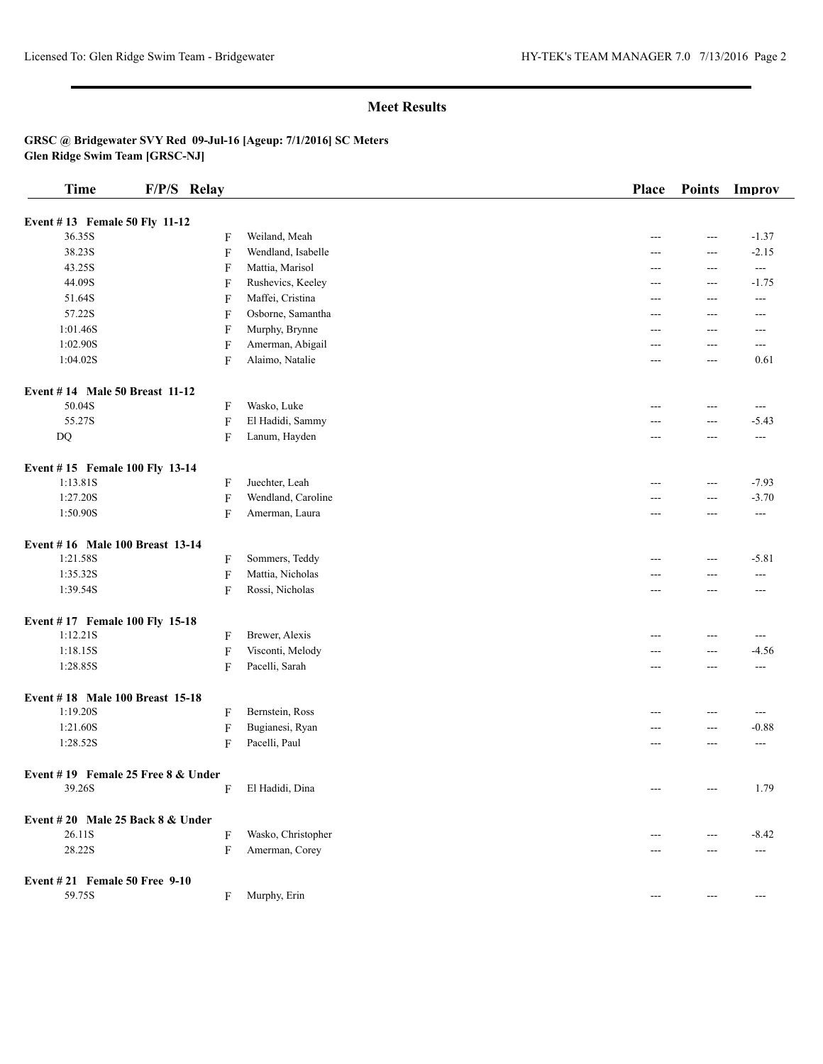**GRSC @ Bridgewater SVY Red 09-Jul-16 [Ageup: 7/1/2016] SC Meters Glen Ridge Swim Team [GRSC-NJ]**

| <b>Time</b>                        | F/P/S Relay |                           |                    | Place | <b>Points</b> | Improv                   |
|------------------------------------|-------------|---------------------------|--------------------|-------|---------------|--------------------------|
| Event #13 Female 50 Fly 11-12      |             |                           |                    |       |               |                          |
| 36.35S                             |             | F                         | Weiland, Meah      | ---   | $---$         | $-1.37$                  |
| 38.23S                             |             | F                         | Wendland, Isabelle |       | $---$         | $-2.15$                  |
| 43.25S                             |             | F                         | Mattia, Marisol    | ---   | ---           | $\overline{\phantom{a}}$ |
| 44.09S                             |             | F                         | Rushevics, Keeley  | ---   | ---           | $-1.75$                  |
| 51.64S                             |             | F                         | Maffei, Cristina   | ---   | $---$         | $---$                    |
| 57.22S                             |             | F                         | Osborne, Samantha  | $---$ | $---$         | $---$                    |
| 1:01.46S                           |             | F                         | Murphy, Brynne     | ---   | $---$         | $---$                    |
| 1:02.90S                           |             | $\boldsymbol{\mathrm{F}}$ | Amerman, Abigail   | ---   | $---$         | $---$                    |
| 1:04.02S                           |             | F                         | Alaimo, Natalie    | $---$ | ---           | 0.61                     |
| Event #14 Male 50 Breast 11-12     |             |                           |                    |       |               |                          |
| 50.04S                             |             | F                         | Wasko, Luke        | ---   | $---$         | $---$                    |
| 55.27S                             |             | ${\bf F}$                 | El Hadidi, Sammy   | ---   | $---$         | $-5.43$                  |
| DQ                                 |             | $\mathbf F$               | Lanum, Hayden      | ---   | $---$         | $\frac{1}{2}$            |
| Event #15 Female 100 Fly 13-14     |             |                           |                    |       |               |                          |
| 1:13.81S                           |             | F                         | Juechter, Leah     | ---   | $---$         | $-7.93$                  |
| 1:27.20S                           |             | $\boldsymbol{\mathrm{F}}$ | Wendland, Caroline | ---   | $---$         | $-3.70$                  |
| 1:50.90S                           |             | $\mathbf F$               | Amerman, Laura     | ---   | ---           | ---                      |
| Event #16 Male 100 Breast 13-14    |             |                           |                    |       |               |                          |
| 1:21.58S                           |             | F                         | Sommers, Teddy     | ---   | ---           | $-5.81$                  |
| 1:35.32S                           |             | ${\bf F}$                 | Mattia, Nicholas   | ---   | $---$         | $---$                    |
| 1:39.54S                           |             | $\mathbf F$               | Rossi, Nicholas    | ---   | $---$         | ---                      |
| Event #17 Female 100 Fly 15-18     |             |                           |                    |       |               |                          |
| 1:12.21S                           |             | F                         | Brewer, Alexis     | ---   | ---           | ---                      |
| 1:18.15S                           |             | ${\bf F}$                 | Visconti, Melody   | ---   | $---$         | $-4.56$                  |
| 1:28.85S                           |             | F                         | Pacelli, Sarah     | $---$ | $---$         | $---$                    |
| Event #18 Male 100 Breast 15-18    |             |                           |                    |       |               |                          |
| 1:19.20S                           |             | F                         | Bernstein, Ross    | ---   | ---           | ---                      |
| 1:21.60S                           |             | ${\bf F}$                 | Bugianesi, Ryan    |       | ---           | $-0.88$                  |
| 1:28.52S                           |             | F                         | Pacelli, Paul      | $---$ | ---           | ---                      |
| Event #19 Female 25 Free 8 & Under |             |                           |                    |       |               |                          |
| 39.26S                             |             | F                         | El Hadidi, Dina    | $---$ | $---$         | 1.79                     |
| Event $#20$ Male 25 Back 8 & Under |             |                           |                    |       |               |                          |
| 26.11S                             |             | F                         | Wasko, Christopher |       | ---           | $-8.42$                  |
| 28.22S                             |             | F                         | Amerman, Corey     | ---   | $---$         | $---$                    |
| Event #21 Female 50 Free 9-10      |             |                           |                    |       |               |                          |
| 59.75S                             |             | F                         | Murphy, Erin       | ---   | $---$         | $---$                    |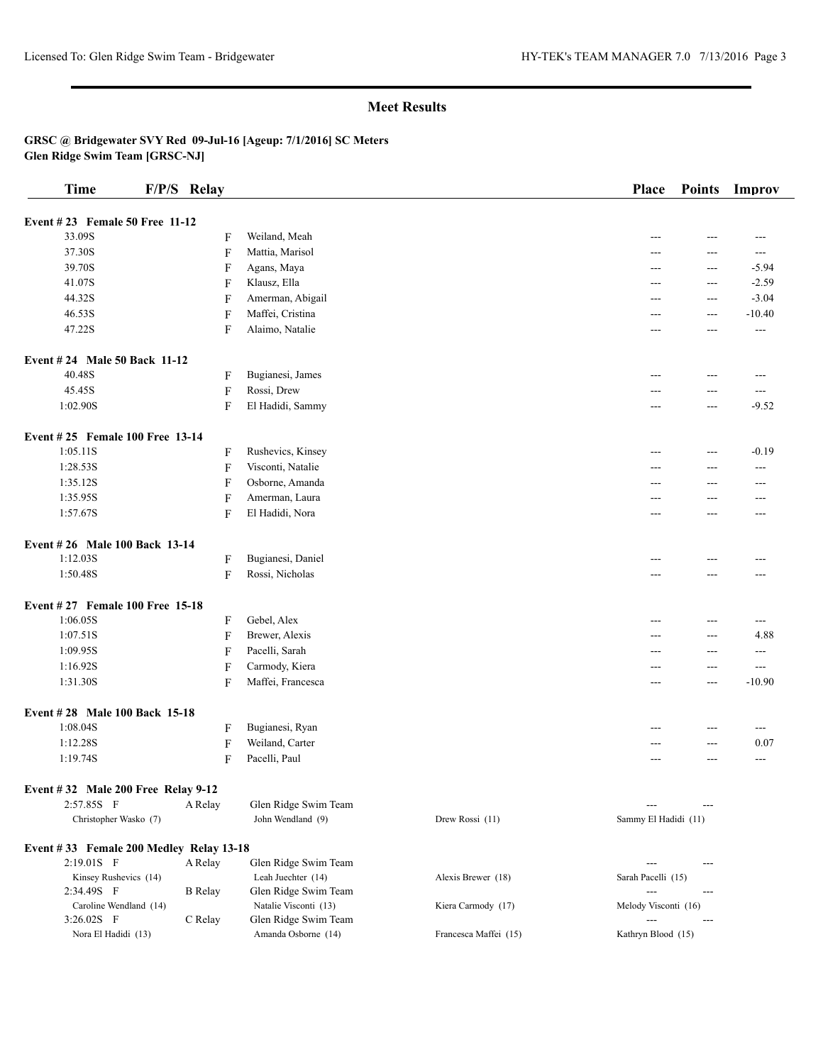**GRSC @ Bridgewater SVY Red 09-Jul-16 [Ageup: 7/1/2016] SC Meters Glen Ridge Swim Team [GRSC-NJ]**

| <b>Time</b>                                   | F/P/S Relay    |                |                                             |                       | Place                | <b>Points</b> | Improv   |
|-----------------------------------------------|----------------|----------------|---------------------------------------------|-----------------------|----------------------|---------------|----------|
| Event #23 Female 50 Free 11-12                |                |                |                                             |                       |                      |               |          |
| 33.09S                                        |                | F              | Weiland, Meah                               |                       |                      | ---           | ---      |
| 37.30S                                        |                | F              | Mattia, Marisol                             |                       | ---                  | $---$         | $---$    |
| 39.70S                                        |                | $\mathbf F$    | Agans, Maya                                 |                       | ---                  | ---           | $-5.94$  |
| 41.07S                                        |                | $\mathbf F$    | Klausz, Ella                                |                       | ---                  | ---           | $-2.59$  |
| 44.32S                                        |                | F              | Amerman, Abigail                            |                       | ---                  | $---$         | $-3.04$  |
| 46.53S                                        |                | $\mathbf F$    | Maffei, Cristina                            |                       | ---                  | $---$         | $-10.40$ |
| 47.22S                                        |                | F              | Alaimo, Natalie                             |                       | ---                  | ---           | ---      |
|                                               |                |                |                                             |                       |                      |               |          |
| <b>Event #24 Male 50 Back 11-12</b><br>40.48S |                |                |                                             |                       |                      | $---$         |          |
|                                               |                | F              | Bugianesi, James                            |                       | ---                  |               | $---$    |
| 45.45S                                        |                | $\mathbf F$    | Rossi, Drew                                 |                       | ---                  | $---$         | $---$    |
| 1:02.90S                                      |                | $\mathbf F$    | El Hadidi, Sammy                            |                       | ---                  | ---           | $-9.52$  |
| Event #25 Female 100 Free 13-14               |                |                |                                             |                       |                      |               |          |
| 1:05.11S                                      |                | F              | Rushevics, Kinsey                           |                       | ---                  | ---           | $-0.19$  |
| 1:28.53S                                      |                | $\overline{F}$ | Visconti, Natalie                           |                       | ---                  | $---$         | $---$    |
| 1:35.12S                                      |                | F              | Osborne, Amanda                             |                       | ---                  | ---           | ---      |
| 1:35.95S                                      |                | F              | Amerman, Laura                              |                       | ---                  | $---$         | ---      |
| 1:57.67S                                      |                | F              | El Hadidi, Nora                             |                       | ---                  | $---$         | ---      |
| Event #26 Male 100 Back 13-14                 |                |                |                                             |                       |                      |               |          |
| 1:12.03S                                      |                | $\mathbf F$    | Bugianesi, Daniel                           |                       |                      | ---           |          |
| 1:50.48S                                      |                | $\mathbf{F}$   | Rossi, Nicholas                             |                       | ---                  | $---$         | ---      |
| Event #27 Female 100 Free 15-18               |                |                |                                             |                       |                      |               |          |
| 1:06.05S                                      |                | $\mathbf F$    | Gebel, Alex                                 |                       | ---                  | ---           | ---      |
| 1:07.51S                                      |                | F              | Brewer, Alexis                              |                       | ---                  | $---$         | 4.88     |
| 1:09.95S                                      |                | F              | Pacelli, Sarah                              |                       | $---$                | $---$         | ---      |
| 1:16.92S                                      |                | $\mathbf F$    | Carmody, Kiera                              |                       | ---                  | $---$         | $---$    |
| 1:31.30S                                      |                | F              | Maffei, Francesca                           |                       | ---                  | $---$         | $-10.90$ |
| Event #28 Male 100 Back 15-18                 |                |                |                                             |                       |                      |               |          |
| 1:08.04S                                      |                | F              | Bugianesi, Ryan                             |                       | ---                  | $---$         | $---$    |
| 1:12.28S                                      |                | $\mathbf F$    | Weiland, Carter                             |                       | ---                  | $---$         | 0.07     |
| 1:19.74S                                      |                | F              | Pacelli, Paul                               |                       | ---                  | ---           | $---$    |
|                                               |                |                |                                             |                       |                      |               |          |
| Event #32 Male 200 Free Relay 9-12            |                |                |                                             |                       |                      |               |          |
| 2:57.85S F                                    | A Relay        |                | Glen Ridge Swim Team                        |                       |                      |               |          |
| Christopher Wasko (7)                         |                |                | John Wendland (9)                           | Drew Rossi (11)       | Sammy El Hadidi (11) |               |          |
| Event #33 Female 200 Medley Relay 13-18       |                |                |                                             |                       |                      |               |          |
| 2:19.01S F                                    | A Relay        |                | Glen Ridge Swim Team                        |                       | $---$                | ---           |          |
| Kinsey Rushevics (14)                         |                |                | Leah Juechter (14)                          | Alexis Brewer (18)    | Sarah Pacelli (15)   |               |          |
| 2:34.49S F                                    | <b>B</b> Relay |                | Glen Ridge Swim Team                        |                       |                      | $---$         |          |
| Caroline Wendland (14)                        |                |                | Natalie Visconti (13)                       | Kiera Carmody (17)    | Melody Visconti (16) |               |          |
| 3:26.02S F<br>Nora El Hadidi (13)             | C Relay        |                | Glen Ridge Swim Team<br>Amanda Osborne (14) | Francesca Maffei (15) | Kathryn Blood (15)   | $---$         |          |
|                                               |                |                |                                             |                       |                      |               |          |